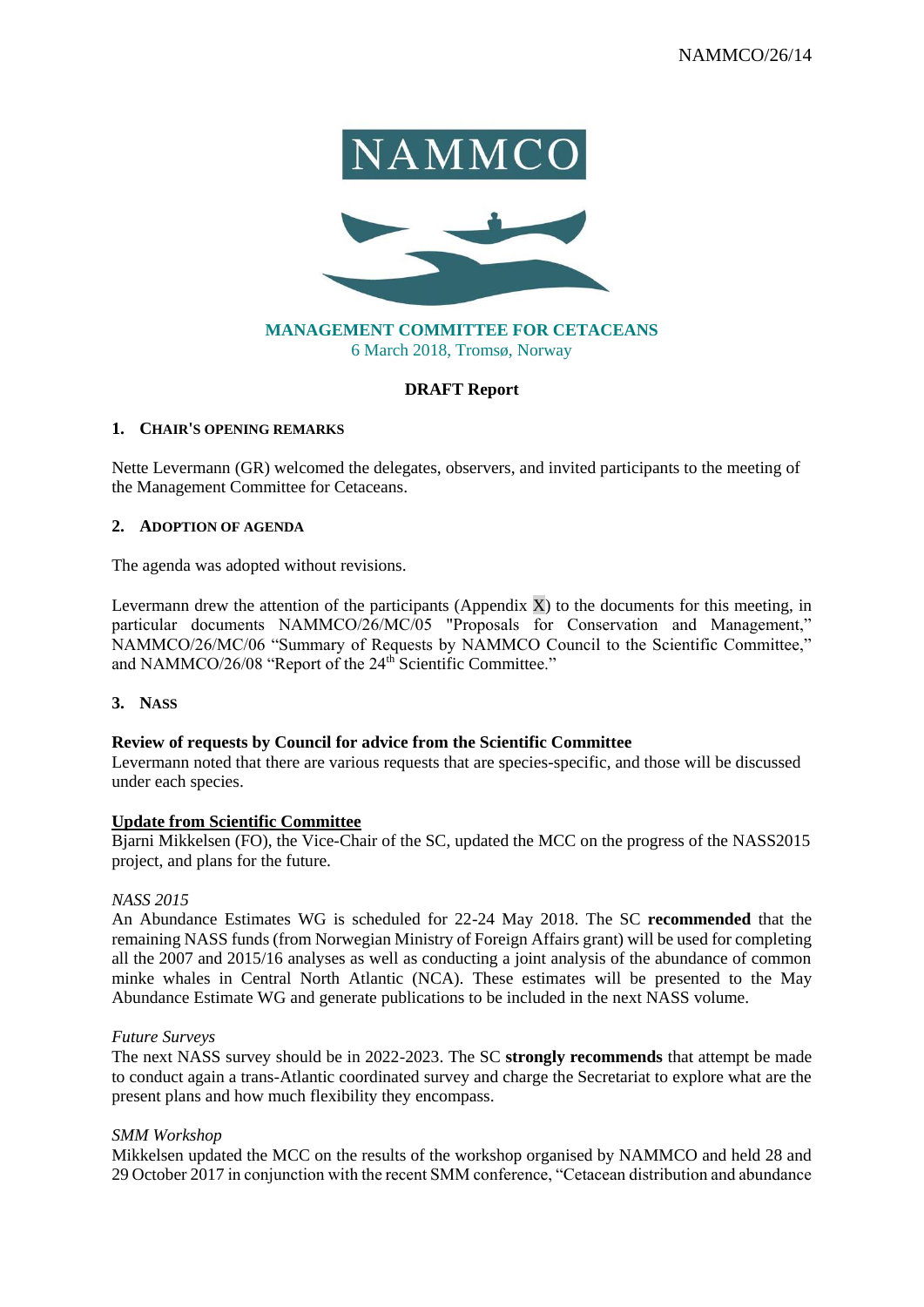

# **MANAGEMENT COMMITTEE FOR CETACEANS** 6 March 2018, Tromsø, Norway

# **DRAFT Report**

#### **1. CHAIR'S OPENING REMARKS**

Nette Levermann (GR) welcomed the delegates, observers, and invited participants to the meeting of the Management Committee for Cetaceans.

#### **2. ADOPTION OF AGENDA**

The agenda was adopted without revisions.

Levermann drew the attention of the participants (Appendix  $X$ ) to the documents for this meeting, in particular documents NAMMCO/26/MC/05 "Proposals for Conservation and Management," NAMMCO/26/MC/06 "Summary of Requests by NAMMCO Council to the Scientific Committee," and NAMMCO/26/08 "Report of the 24<sup>th</sup> Scientific Committee."

**3. NASS** 

# **Review of requests by Council for advice from the Scientific Committee**

Levermann noted that there are various requests that are species-specific, and those will be discussed under each species.

#### **Update from Scientific Committee**

Bjarni Mikkelsen (FO), the Vice-Chair of the SC, updated the MCC on the progress of the NASS2015 project, and plans for the future.

#### *NASS 2015*

An Abundance Estimates WG is scheduled for 22-24 May 2018. The SC **recommended** that the remaining NASS funds (from Norwegian Ministry of Foreign Affairs grant) will be used for completing all the 2007 and 2015/16 analyses as well as conducting a joint analysis of the abundance of common minke whales in Central North Atlantic (NCA). These estimates will be presented to the May Abundance Estimate WG and generate publications to be included in the next NASS volume.

# *Future Surveys*

The next NASS survey should be in 2022-2023. The SC **strongly recommends** that attempt be made to conduct again a trans-Atlantic coordinated survey and charge the Secretariat to explore what are the present plans and how much flexibility they encompass.

# *SMM Workshop*

Mikkelsen updated the MCC on the results of the workshop organised by NAMMCO and held 28 and 29 October 2017 in conjunction with the recent SMM conference, "Cetacean distribution and abundance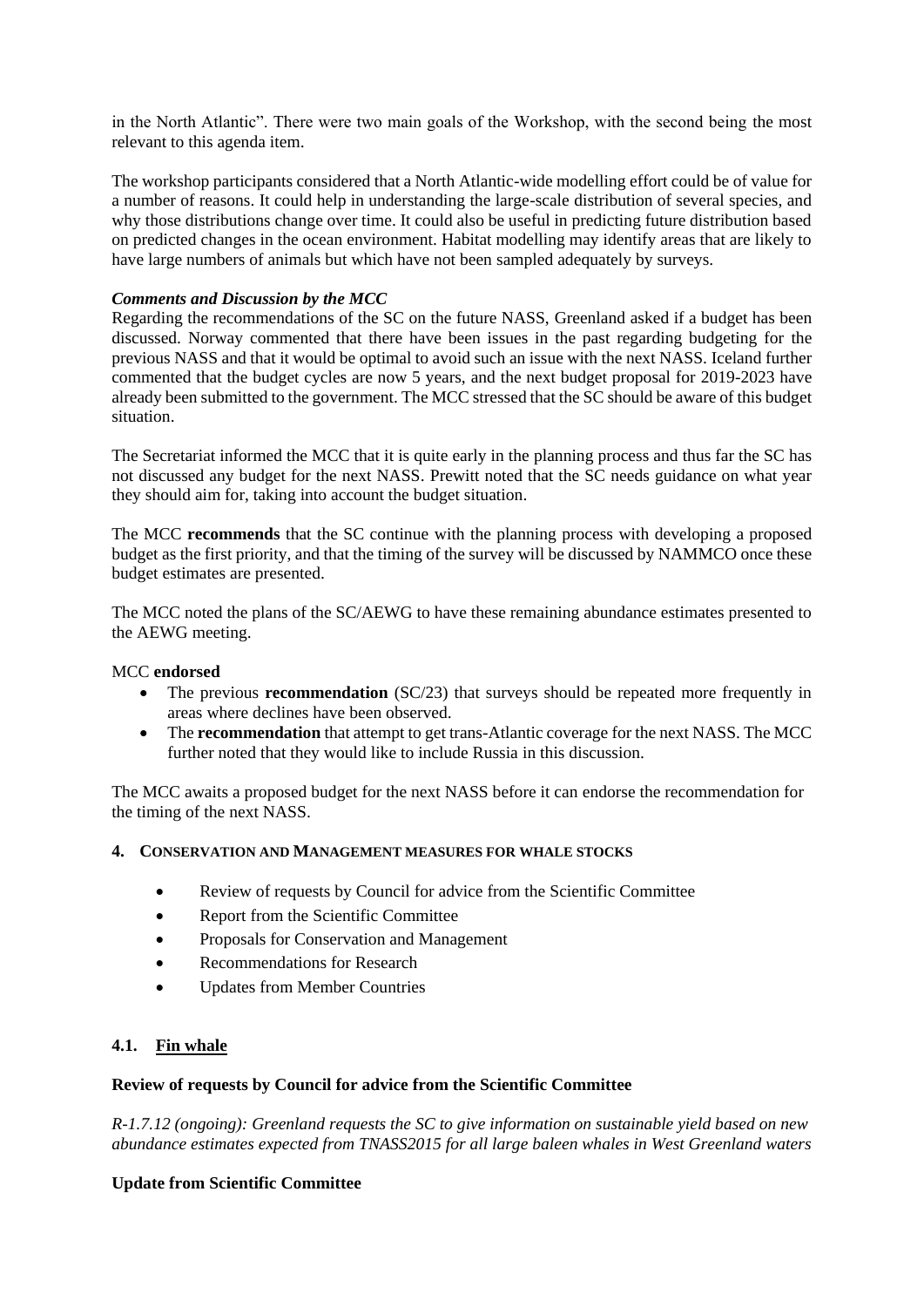in the North Atlantic". There were two main goals of the Workshop, with the second being the most relevant to this agenda item.

The workshop participants considered that a North Atlantic-wide modelling effort could be of value for a number of reasons. It could help in understanding the large-scale distribution of several species, and why those distributions change over time. It could also be useful in predicting future distribution based on predicted changes in the ocean environment. Habitat modelling may identify areas that are likely to have large numbers of animals but which have not been sampled adequately by surveys.

# *Comments and Discussion by the MCC*

Regarding the recommendations of the SC on the future NASS, Greenland asked if a budget has been discussed. Norway commented that there have been issues in the past regarding budgeting for the previous NASS and that it would be optimal to avoid such an issue with the next NASS. Iceland further commented that the budget cycles are now 5 years, and the next budget proposal for 2019-2023 have already been submitted to the government. The MCC stressed that the SC should be aware of this budget situation.

The Secretariat informed the MCC that it is quite early in the planning process and thus far the SC has not discussed any budget for the next NASS. Prewitt noted that the SC needs guidance on what year they should aim for, taking into account the budget situation.

The MCC **recommends** that the SC continue with the planning process with developing a proposed budget as the first priority, and that the timing of the survey will be discussed by NAMMCO once these budget estimates are presented.

The MCC noted the plans of the SC/AEWG to have these remaining abundance estimates presented to the AEWG meeting.

# MCC **endorsed**

- The previous **recommendation** (SC/23) that surveys should be repeated more frequently in areas where declines have been observed.
- The **recommendation** that attempt to get trans-Atlantic coverage for the next NASS. The MCC further noted that they would like to include Russia in this discussion.

The MCC awaits a proposed budget for the next NASS before it can endorse the recommendation for the timing of the next NASS.

# **4. CONSERVATION AND MANAGEMENT MEASURES FOR WHALE STOCKS**

- Review of requests by Council for advice from the Scientific Committee
- Report from the Scientific Committee
- Proposals for Conservation and Management
- Recommendations for Research
- Updates from Member Countries

# **4.1. Fin whale**

# **Review of requests by Council for advice from the Scientific Committee**

*R-1.7.12 (ongoing): Greenland requests the SC to give information on sustainable yield based on new abundance estimates expected from TNASS2015 for all large baleen whales in West Greenland waters*

# **Update from Scientific Committee**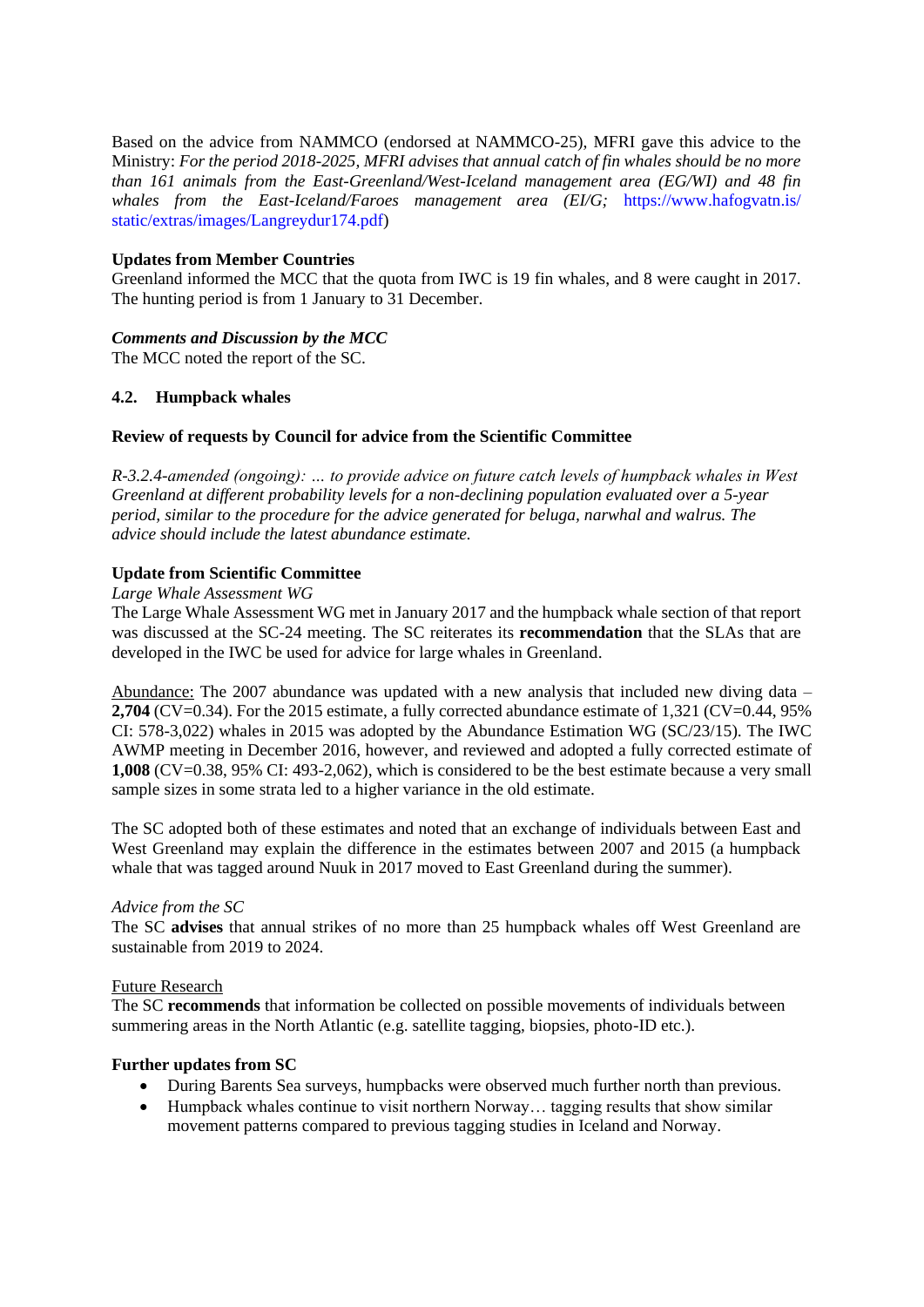Based on the advice from NAMMCO (endorsed at NAMMCO-25), MFRI gave this advice to the Ministry: *For the period 2018-2025, MFRI advises that annual catch of fin whales should be no more than 161 animals from the East-Greenland/West-Iceland management area (EG/WI) and 48 fin*  whales from the East-Iceland/Faroes management area (EI/G; https://www.hafogvatn.is/ static/extras/images/Langreydur174.pdf)

# **Updates from Member Countries**

Greenland informed the MCC that the quota from IWC is 19 fin whales, and 8 were caught in 2017. The hunting period is from 1 January to 31 December.

# *Comments and Discussion by the MCC*

The MCC noted the report of the SC.

# **4.2. Humpback whales**

# **Review of requests by Council for advice from the Scientific Committee**

*R-3.2.4-amended (ongoing): … to provide advice on future catch levels of humpback whales in West Greenland at different probability levels for a non-declining population evaluated over a 5-year period, similar to the procedure for the advice generated for beluga, narwhal and walrus. The advice should include the latest abundance estimate.*

# **Update from Scientific Committee**

# *Large Whale Assessment WG*

The Large Whale Assessment WG met in January 2017 and the humpback whale section of that report was discussed at the SC-24 meeting. The SC reiterates its **recommendation** that the SLAs that are developed in the IWC be used for advice for large whales in Greenland.

Abundance: The 2007 abundance was updated with a new analysis that included new diving data – **2,704** (CV=0.34). For the 2015 estimate, a fully corrected abundance estimate of 1,321 (CV=0.44, 95% CI: 578-3,022) whales in 2015 was adopted by the Abundance Estimation WG (SC/23/15). The IWC AWMP meeting in December 2016, however, and reviewed and adopted a fully corrected estimate of **1,008** (CV=0.38, 95% CI: 493-2,062), which is considered to be the best estimate because a very small sample sizes in some strata led to a higher variance in the old estimate.

The SC adopted both of these estimates and noted that an exchange of individuals between East and West Greenland may explain the difference in the estimates between 2007 and 2015 (a humpback whale that was tagged around Nuuk in 2017 moved to East Greenland during the summer).

# *Advice from the SC*

The SC **advises** that annual strikes of no more than 25 humpback whales off West Greenland are sustainable from 2019 to 2024.

# Future Research

The SC **recommends** that information be collected on possible movements of individuals between summering areas in the North Atlantic (e.g. satellite tagging, biopsies, photo-ID etc.).

# **Further updates from SC**

- During Barents Sea surveys, humpbacks were observed much further north than previous.
- Humpback whales continue to visit northern Norway... tagging results that show similar movement patterns compared to previous tagging studies in Iceland and Norway.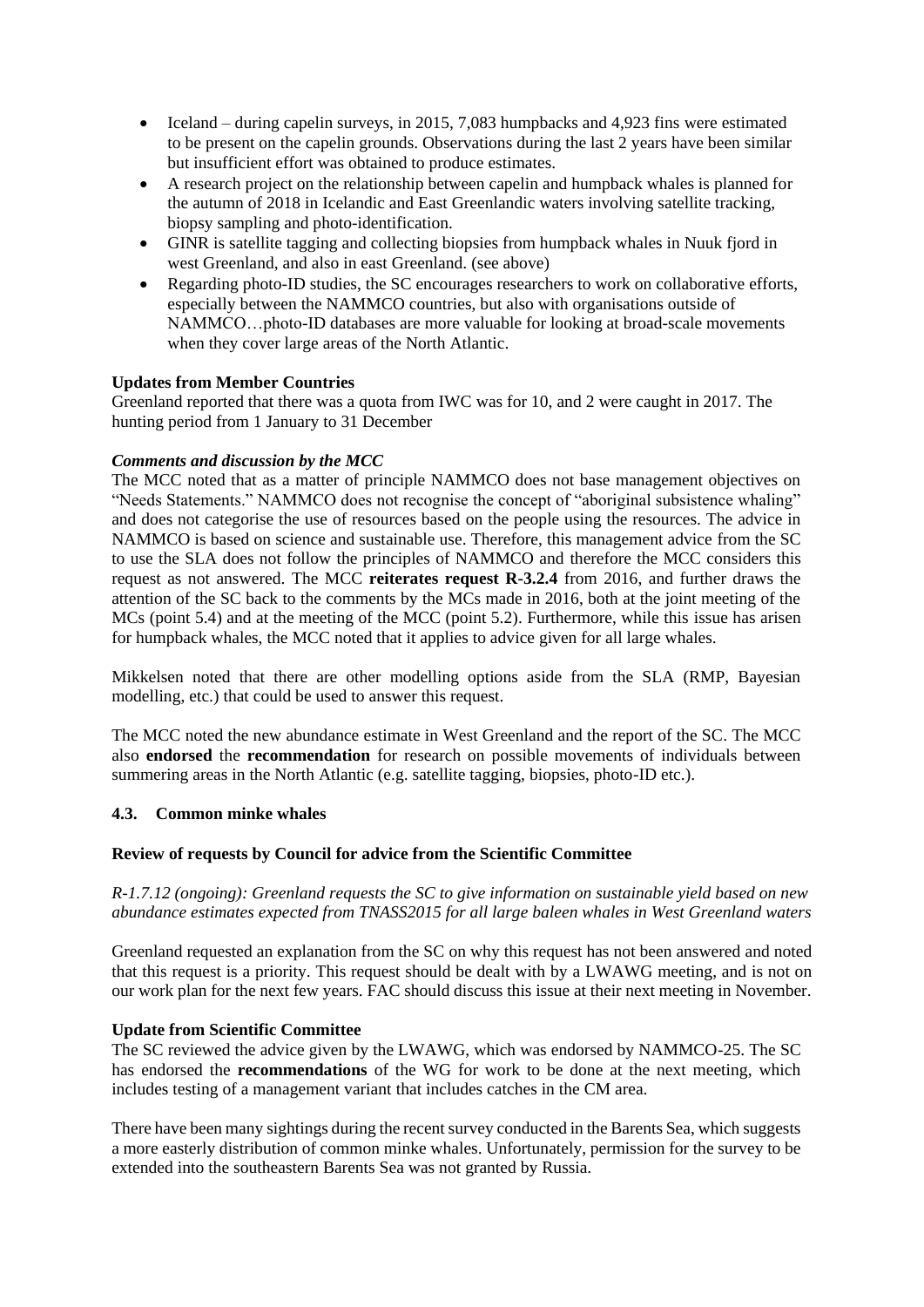- Iceland during capelin surveys, in 2015, 7,083 humpbacks and 4,923 fins were estimated to be present on the capelin grounds. Observations during the last 2 years have been similar but insufficient effort was obtained to produce estimates.
- A research project on the relationship between capelin and humpback whales is planned for the autumn of 2018 in Icelandic and East Greenlandic waters involving satellite tracking, biopsy sampling and photo-identification.
- GINR is satellite tagging and collecting biopsies from humpback whales in Nuuk fjord in west Greenland, and also in east Greenland. (see above)
- Regarding photo-ID studies, the SC encourages researchers to work on collaborative efforts, especially between the NAMMCO countries, but also with organisations outside of NAMMCO…photo-ID databases are more valuable for looking at broad-scale movements when they cover large areas of the North Atlantic.

# **Updates from Member Countries**

Greenland reported that there was a quota from IWC was for 10, and 2 were caught in 2017. The hunting period from 1 January to 31 December

# *Comments and discussion by the MCC*

The MCC noted that as a matter of principle NAMMCO does not base management objectives on "Needs Statements." NAMMCO does not recognise the concept of "aboriginal subsistence whaling" and does not categorise the use of resources based on the people using the resources. The advice in NAMMCO is based on science and sustainable use. Therefore, this management advice from the SC to use the SLA does not follow the principles of NAMMCO and therefore the MCC considers this request as not answered. The MCC **reiterates request R-3.2.4** from 2016, and further draws the attention of the SC back to the comments by the MCs made in 2016, both at the joint meeting of the MCs (point 5.4) and at the meeting of the MCC (point 5.2). Furthermore, while this issue has arisen for humpback whales, the MCC noted that it applies to advice given for all large whales.

Mikkelsen noted that there are other modelling options aside from the SLA (RMP, Bayesian modelling, etc.) that could be used to answer this request.

The MCC noted the new abundance estimate in West Greenland and the report of the SC. The MCC also **endorsed** the **recommendation** for research on possible movements of individuals between summering areas in the North Atlantic (e.g. satellite tagging, biopsies, photo-ID etc.).

# **4.3. Common minke whales**

# **Review of requests by Council for advice from the Scientific Committee**

*R-1.7.12 (ongoing): Greenland requests the SC to give information on sustainable yield based on new abundance estimates expected from TNASS2015 for all large baleen whales in West Greenland waters* 

Greenland requested an explanation from the SC on why this request has not been answered and noted that this request is a priority. This request should be dealt with by a LWAWG meeting, and is not on our work plan for the next few years. FAC should discuss this issue at their next meeting in November.

# **Update from Scientific Committee**

The SC reviewed the advice given by the LWAWG, which was endorsed by NAMMCO-25. The SC has endorsed the **recommendations** of the WG for work to be done at the next meeting, which includes testing of a management variant that includes catches in the CM area.

There have been many sightings during the recent survey conducted in the Barents Sea, which suggests a more easterly distribution of common minke whales. Unfortunately, permission for the survey to be extended into the southeastern Barents Sea was not granted by Russia.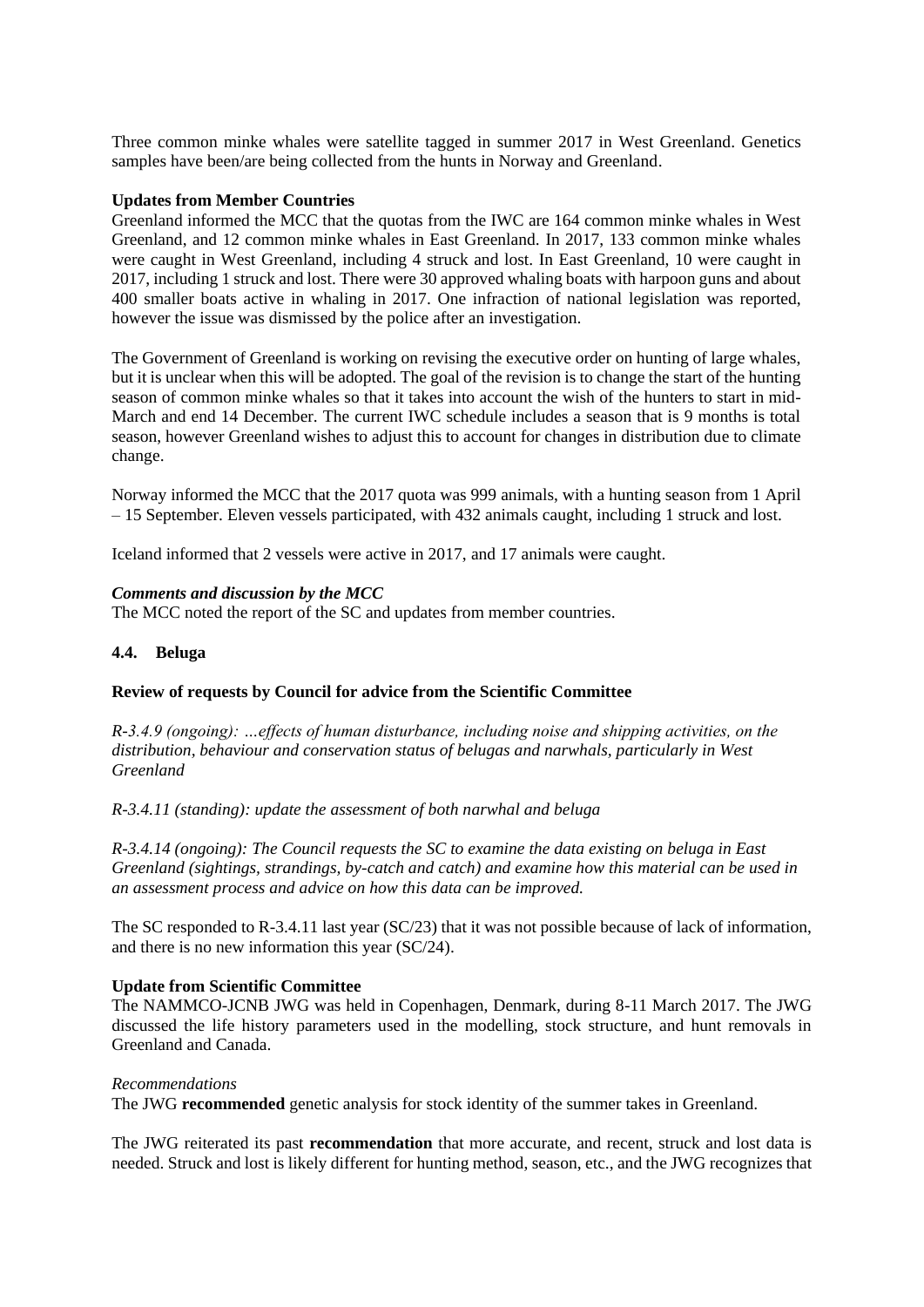Three common minke whales were satellite tagged in summer 2017 in West Greenland. Genetics samples have been/are being collected from the hunts in Norway and Greenland.

#### **Updates from Member Countries**

Greenland informed the MCC that the quotas from the IWC are 164 common minke whales in West Greenland, and 12 common minke whales in East Greenland. In 2017, 133 common minke whales were caught in West Greenland, including 4 struck and lost. In East Greenland, 10 were caught in 2017, including 1 struck and lost. There were 30 approved whaling boats with harpoon guns and about 400 smaller boats active in whaling in 2017. One infraction of national legislation was reported, however the issue was dismissed by the police after an investigation.

The Government of Greenland is working on revising the executive order on hunting of large whales, but it is unclear when this will be adopted. The goal of the revision is to change the start of the hunting season of common minke whales so that it takes into account the wish of the hunters to start in mid-March and end 14 December. The current IWC schedule includes a season that is 9 months is total season, however Greenland wishes to adjust this to account for changes in distribution due to climate change.

Norway informed the MCC that the 2017 quota was 999 animals, with a hunting season from 1 April – 15 September. Eleven vessels participated, with 432 animals caught, including 1 struck and lost.

Iceland informed that 2 vessels were active in 2017, and 17 animals were caught.

#### *Comments and discussion by the MCC*

The MCC noted the report of the SC and updates from member countries.

#### **4.4. Beluga**

#### **Review of requests by Council for advice from the Scientific Committee**

*R-3.4.9 (ongoing): …effects of human disturbance, including noise and shipping activities, on the distribution, behaviour and conservation status of belugas and narwhals, particularly in West Greenland* 

*R-3.4.11 (standing): update the assessment of both narwhal and beluga* 

*R-3.4.14 (ongoing): The Council requests the SC to examine the data existing on beluga in East Greenland (sightings, strandings, by-catch and catch) and examine how this material can be used in an assessment process and advice on how this data can be improved.*

The SC responded to R-3.4.11 last year  $(SC/23)$  that it was not possible because of lack of information, and there is no new information this year (SC/24).

#### **Update from Scientific Committee**

The NAMMCO-JCNB JWG was held in Copenhagen, Denmark, during 8-11 March 2017. The JWG discussed the life history parameters used in the modelling, stock structure, and hunt removals in Greenland and Canada.

#### *Recommendations*

The JWG **recommended** genetic analysis for stock identity of the summer takes in Greenland.

The JWG reiterated its past **recommendation** that more accurate, and recent, struck and lost data is needed. Struck and lost is likely different for hunting method, season, etc., and the JWG recognizes that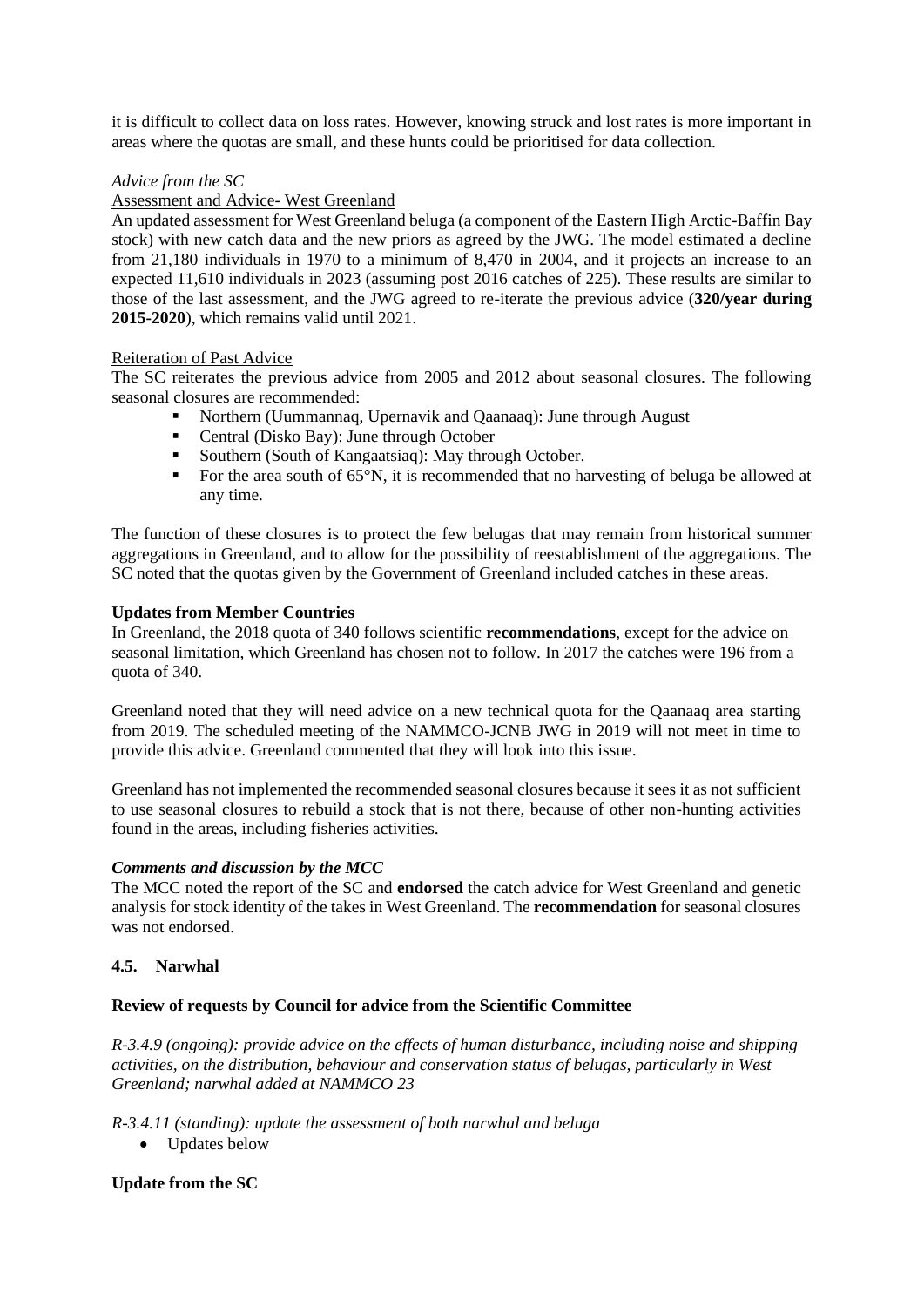it is difficult to collect data on loss rates. However, knowing struck and lost rates is more important in areas where the quotas are small, and these hunts could be prioritised for data collection.

# *Advice from the SC*

#### Assessment and Advice- West Greenland

An updated assessment for West Greenland beluga (a component of the Eastern High Arctic-Baffin Bay stock) with new catch data and the new priors as agreed by the JWG. The model estimated a decline from 21,180 individuals in 1970 to a minimum of 8,470 in 2004, and it projects an increase to an expected 11,610 individuals in 2023 (assuming post 2016 catches of 225). These results are similar to those of the last assessment, and the JWG agreed to re-iterate the previous advice (**320/year during 2015-2020**), which remains valid until 2021.

## Reiteration of Past Advice

The SC reiterates the previous advice from 2005 and 2012 about seasonal closures. The following seasonal closures are recommended:

- Northern (Uummannaq, Upernavik and Qaanaaq): June through August
- Central (Disko Bay): June through October
- Southern (South of Kangaatsiaq): May through October.
- For the area south of 65°N, it is recommended that no harvesting of beluga be allowed at any time.

The function of these closures is to protect the few belugas that may remain from historical summer aggregations in Greenland, and to allow for the possibility of reestablishment of the aggregations. The SC noted that the quotas given by the Government of Greenland included catches in these areas.

#### **Updates from Member Countries**

In Greenland, the 2018 quota of 340 follows scientific **recommendations**, except for the advice on seasonal limitation, which Greenland has chosen not to follow. In 2017 the catches were 196 from a quota of 340.

Greenland noted that they will need advice on a new technical quota for the Qaanaaq area starting from 2019. The scheduled meeting of the NAMMCO-JCNB JWG in 2019 will not meet in time to provide this advice. Greenland commented that they will look into this issue.

Greenland has not implemented the recommended seasonal closures because it sees it as not sufficient to use seasonal closures to rebuild a stock that is not there, because of other non-hunting activities found in the areas, including fisheries activities.

#### *Comments and discussion by the MCC*

The MCC noted the report of the SC and **endorsed** the catch advice for West Greenland and genetic analysis for stock identity of the takes in West Greenland. The **recommendation** for seasonal closures was not endorsed.

# **4.5. Narwhal**

# **Review of requests by Council for advice from the Scientific Committee**

*R-3.4.9 (ongoing): provide advice on the effects of human disturbance, including noise and shipping activities, on the distribution, behaviour and conservation status of belugas, particularly in West Greenland; narwhal added at NAMMCO 23* 

*R-3.4.11 (standing): update the assessment of both narwhal and beluga*

• Updates below

# **Update from the SC**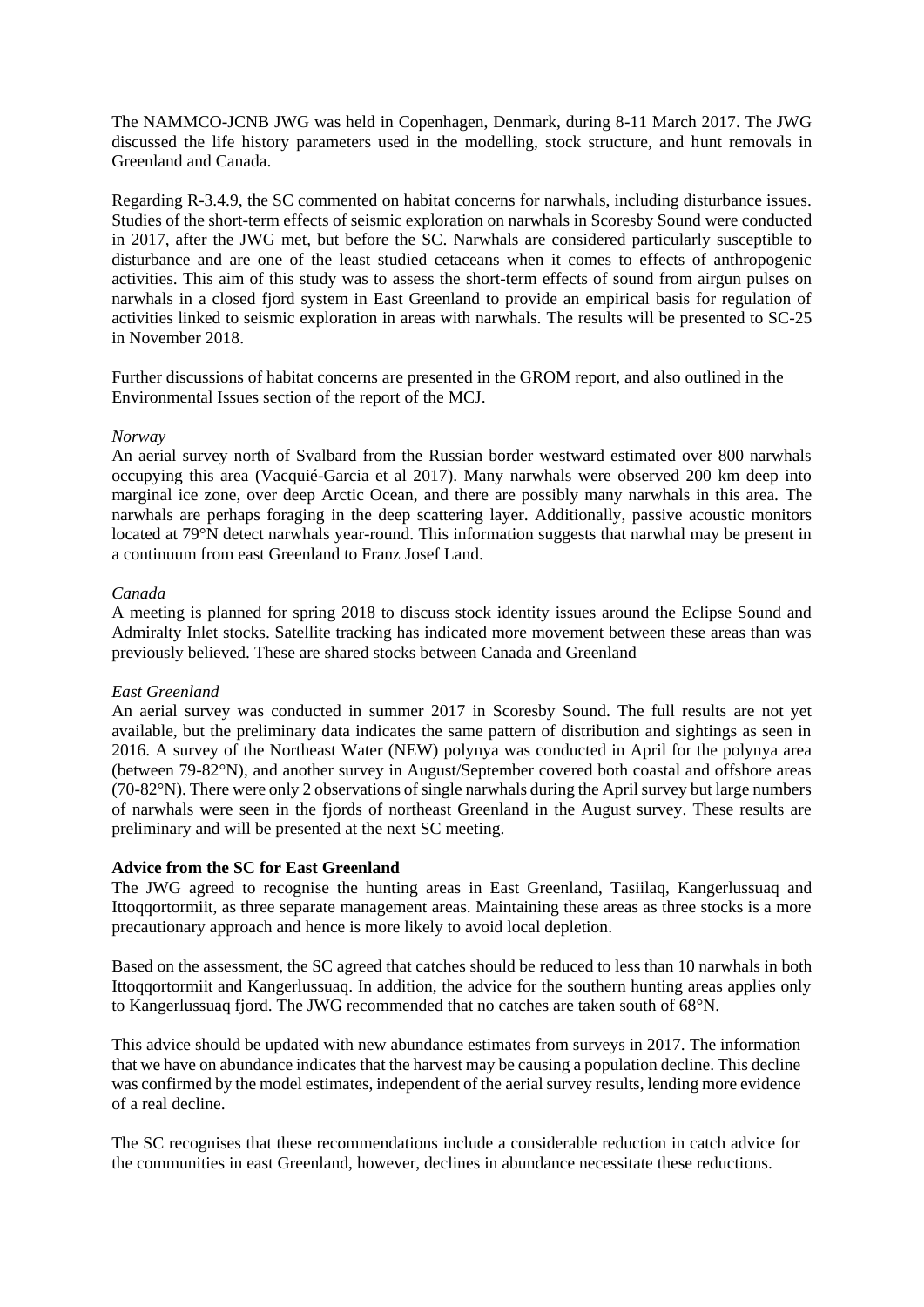The NAMMCO-JCNB JWG was held in Copenhagen, Denmark, during 8-11 March 2017. The JWG discussed the life history parameters used in the modelling, stock structure, and hunt removals in Greenland and Canada.

Regarding R-3.4.9, the SC commented on habitat concerns for narwhals, including disturbance issues. Studies of the short-term effects of seismic exploration on narwhals in Scoresby Sound were conducted in 2017, after the JWG met, but before the SC. Narwhals are considered particularly susceptible to disturbance and are one of the least studied cetaceans when it comes to effects of anthropogenic activities. This aim of this study was to assess the short-term effects of sound from airgun pulses on narwhals in a closed fjord system in East Greenland to provide an empirical basis for regulation of activities linked to seismic exploration in areas with narwhals. The results will be presented to SC-25 in November 2018.

Further discussions of habitat concerns are presented in the GROM report, and also outlined in the Environmental Issues section of the report of the MCJ.

#### *Norway*

An aerial survey north of Svalbard from the Russian border westward estimated over 800 narwhals occupying this area (Vacquié-Garcia et al 2017). Many narwhals were observed 200 km deep into marginal ice zone, over deep Arctic Ocean, and there are possibly many narwhals in this area. The narwhals are perhaps foraging in the deep scattering layer. Additionally, passive acoustic monitors located at 79°N detect narwhals year-round. This information suggests that narwhal may be present in a continuum from east Greenland to Franz Josef Land.

#### *Canada*

A meeting is planned for spring 2018 to discuss stock identity issues around the Eclipse Sound and Admiralty Inlet stocks. Satellite tracking has indicated more movement between these areas than was previously believed. These are shared stocks between Canada and Greenland

# *East Greenland*

An aerial survey was conducted in summer 2017 in Scoresby Sound. The full results are not yet available, but the preliminary data indicates the same pattern of distribution and sightings as seen in 2016. A survey of the Northeast Water (NEW) polynya was conducted in April for the polynya area (between 79-82°N), and another survey in August/September covered both coastal and offshore areas (70-82°N). There were only 2 observations of single narwhals during the April survey but large numbers of narwhals were seen in the fjords of northeast Greenland in the August survey. These results are preliminary and will be presented at the next SC meeting.

#### **Advice from the SC for East Greenland**

The JWG agreed to recognise the hunting areas in East Greenland, Tasiilaq, Kangerlussuaq and Ittoqqortormiit, as three separate management areas. Maintaining these areas as three stocks is a more precautionary approach and hence is more likely to avoid local depletion.

Based on the assessment, the SC agreed that catches should be reduced to less than 10 narwhals in both Ittoqqortormiit and Kangerlussuaq. In addition, the advice for the southern hunting areas applies only to Kangerlussuaq fjord. The JWG recommended that no catches are taken south of 68°N.

This advice should be updated with new abundance estimates from surveys in 2017. The information that we have on abundance indicates that the harvest may be causing a population decline. This decline was confirmed by the model estimates, independent of the aerial survey results, lending more evidence of a real decline.

The SC recognises that these recommendations include a considerable reduction in catch advice for the communities in east Greenland, however, declines in abundance necessitate these reductions.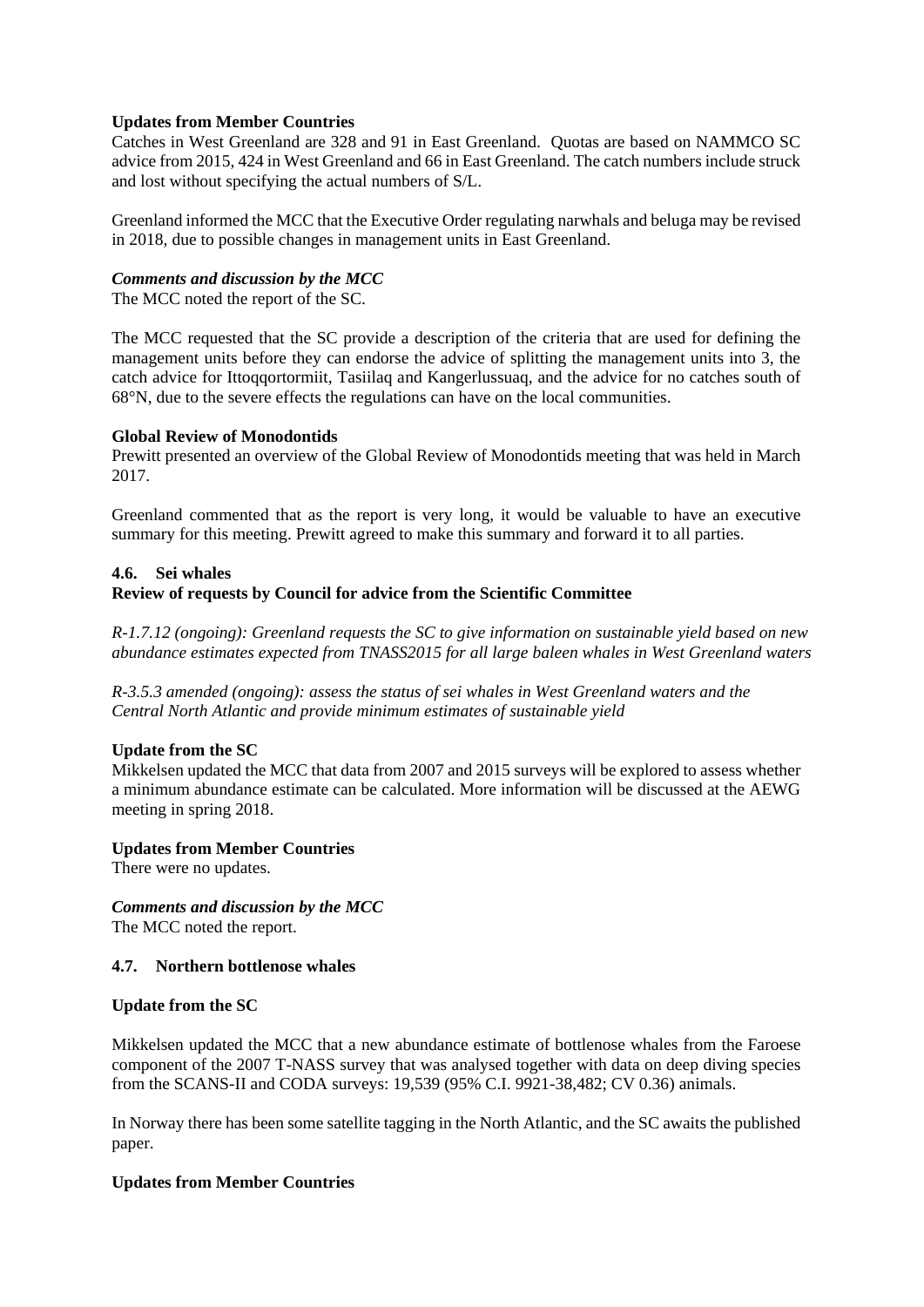# **Updates from Member Countries**

Catches in West Greenland are 328 and 91 in East Greenland. Quotas are based on NAMMCO SC advice from 2015, 424 in West Greenland and 66 in East Greenland. The catch numbers include struck and lost without specifying the actual numbers of S/L.

Greenland informed the MCC that the Executive Order regulating narwhals and beluga may be revised in 2018, due to possible changes in management units in East Greenland.

# *Comments and discussion by the MCC*

The MCC noted the report of the SC.

The MCC requested that the SC provide a description of the criteria that are used for defining the management units before they can endorse the advice of splitting the management units into 3, the catch advice for Ittoqqortormiit, Tasiilaq and Kangerlussuaq, and the advice for no catches south of 68°N, due to the severe effects the regulations can have on the local communities.

# **Global Review of Monodontids**

Prewitt presented an overview of the Global Review of Monodontids meeting that was held in March 2017.

Greenland commented that as the report is very long, it would be valuable to have an executive summary for this meeting. Prewitt agreed to make this summary and forward it to all parties.

# **4.6. Sei whales**

# **Review of requests by Council for advice from the Scientific Committee**

*R-1.7.12 (ongoing): Greenland requests the SC to give information on sustainable yield based on new abundance estimates expected from TNASS2015 for all large baleen whales in West Greenland waters* 

*R-3.5.3 amended (ongoing): assess the status of sei whales in West Greenland waters and the Central North Atlantic and provide minimum estimates of sustainable yield*

# **Update from the SC**

Mikkelsen updated the MCC that data from 2007 and 2015 surveys will be explored to assess whether a minimum abundance estimate can be calculated. More information will be discussed at the AEWG meeting in spring 2018.

# **Updates from Member Countries**

There were no updates.

*Comments and discussion by the MCC* The MCC noted the report.

# **4.7. Northern bottlenose whales**

# **Update from the SC**

Mikkelsen updated the MCC that a new abundance estimate of bottlenose whales from the Faroese component of the 2007 T-NASS survey that was analysed together with data on deep diving species from the SCANS-II and CODA surveys: 19,539 (95% C.I. 9921-38,482; CV 0.36) animals.

In Norway there has been some satellite tagging in the North Atlantic, and the SC awaits the published paper.

# **Updates from Member Countries**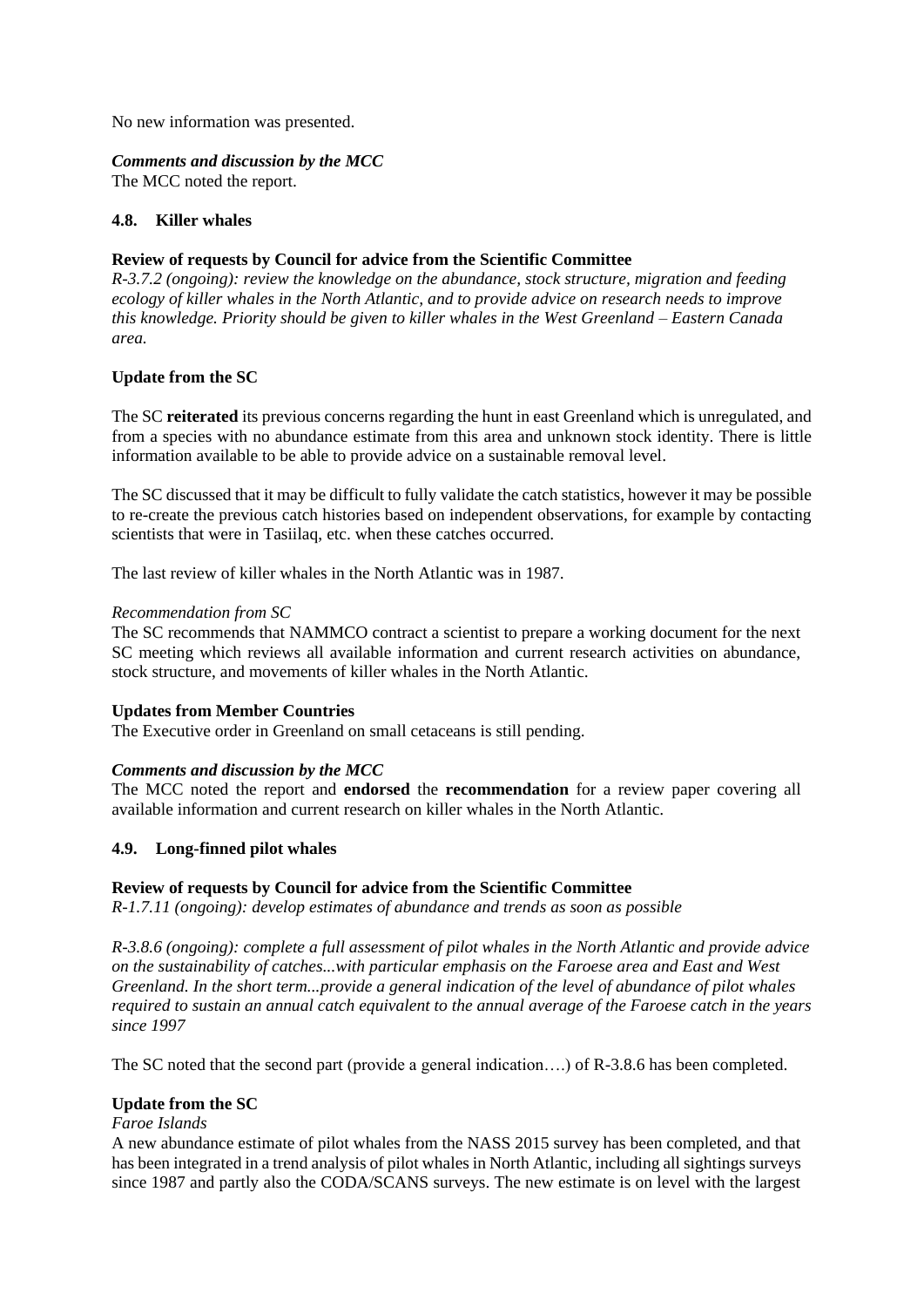No new information was presented.

# *Comments and discussion by the MCC*

The MCC noted the report.

#### **4.8. Killer whales**

# **Review of requests by Council for advice from the Scientific Committee**

*R-3.7.2 (ongoing): review the knowledge on the abundance, stock structure, migration and feeding ecology of killer whales in the North Atlantic, and to provide advice on research needs to improve this knowledge. Priority should be given to killer whales in the West Greenland – Eastern Canada area.*

# **Update from the SC**

The SC **reiterated** its previous concerns regarding the hunt in east Greenland which is unregulated, and from a species with no abundance estimate from this area and unknown stock identity. There is little information available to be able to provide advice on a sustainable removal level.

The SC discussed that it may be difficult to fully validate the catch statistics, however it may be possible to re-create the previous catch histories based on independent observations, for example by contacting scientists that were in Tasiilaq, etc. when these catches occurred.

The last review of killer whales in the North Atlantic was in 1987.

#### *Recommendation from SC*

The SC recommends that NAMMCO contract a scientist to prepare a working document for the next SC meeting which reviews all available information and current research activities on abundance, stock structure, and movements of killer whales in the North Atlantic.

# **Updates from Member Countries**

The Executive order in Greenland on small cetaceans is still pending.

# *Comments and discussion by the MCC*

The MCC noted the report and **endorsed** the **recommendation** for a review paper covering all available information and current research on killer whales in the North Atlantic.

# **4.9. Long-finned pilot whales**

# **Review of requests by Council for advice from the Scientific Committee**

*R-1.7.11 (ongoing): develop estimates of abundance and trends as soon as possible* 

*R-3.8.6 (ongoing): complete a full assessment of pilot whales in the North Atlantic and provide advice on the sustainability of catches...with particular emphasis on the Faroese area and East and West Greenland. In the short term...provide a general indication of the level of abundance of pilot whales required to sustain an annual catch equivalent to the annual average of the Faroese catch in the years since 1997* 

The SC noted that the second part (provide a general indication….) of R-3.8.6 has been completed.

# **Update from the SC**

# *Faroe Islands*

A new abundance estimate of pilot whales from the NASS 2015 survey has been completed, and that has been integrated in a trend analysis of pilot whales in North Atlantic, including all sightings surveys since 1987 and partly also the CODA/SCANS surveys. The new estimate is on level with the largest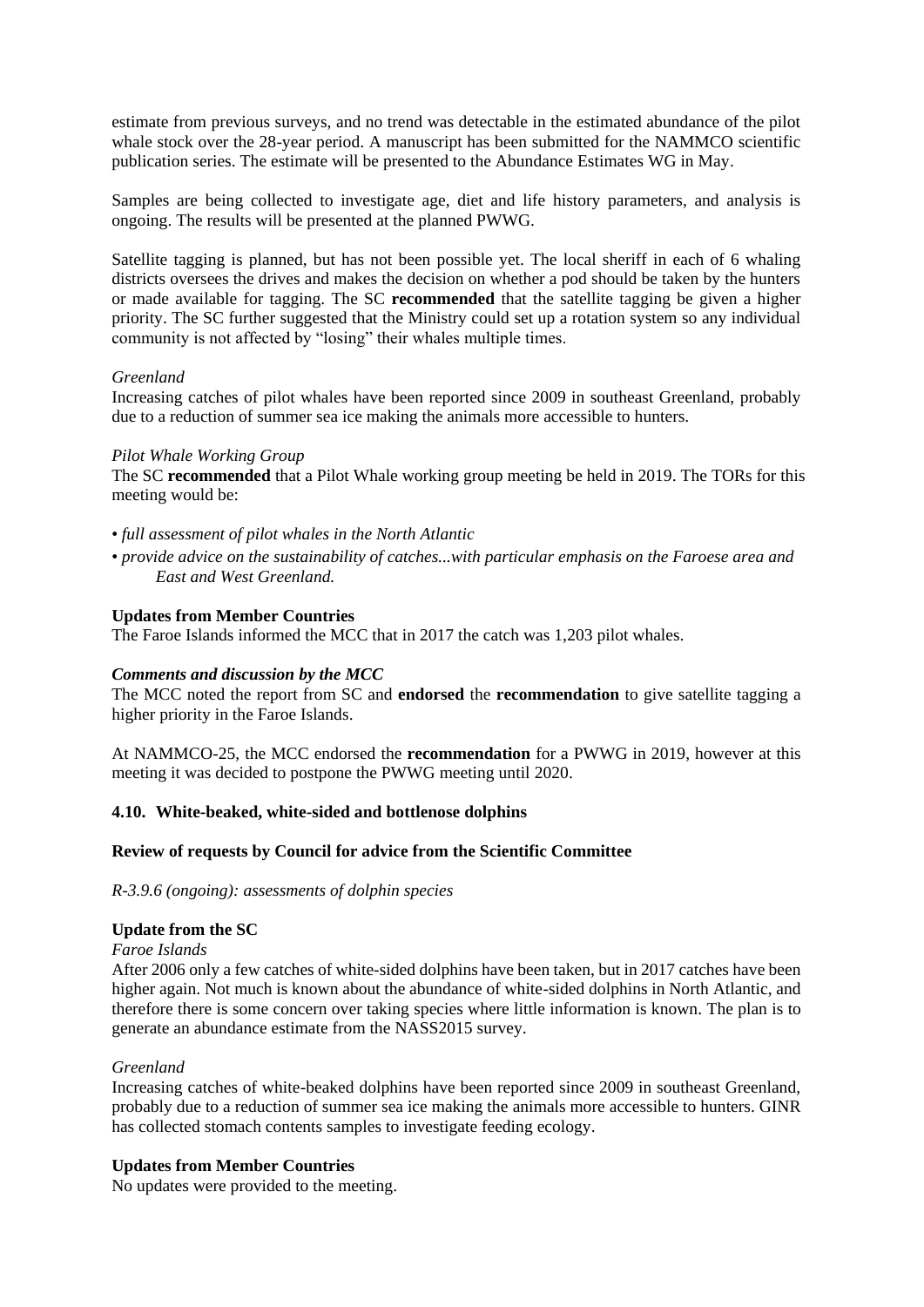estimate from previous surveys, and no trend was detectable in the estimated abundance of the pilot whale stock over the 28-year period. A manuscript has been submitted for the NAMMCO scientific publication series. The estimate will be presented to the Abundance Estimates WG in May.

Samples are being collected to investigate age, diet and life history parameters, and analysis is ongoing. The results will be presented at the planned PWWG.

Satellite tagging is planned, but has not been possible yet. The local sheriff in each of 6 whaling districts oversees the drives and makes the decision on whether a pod should be taken by the hunters or made available for tagging. The SC **recommended** that the satellite tagging be given a higher priority. The SC further suggested that the Ministry could set up a rotation system so any individual community is not affected by "losing" their whales multiple times.

#### *Greenland*

Increasing catches of pilot whales have been reported since 2009 in southeast Greenland, probably due to a reduction of summer sea ice making the animals more accessible to hunters.

#### *Pilot Whale Working Group*

The SC **recommended** that a Pilot Whale working group meeting be held in 2019. The TORs for this meeting would be:

- *full assessment of pilot whales in the North Atlantic*
- *provide advice on the sustainability of catches...with particular emphasis on the Faroese area and East and West Greenland.*

#### **Updates from Member Countries**

The Faroe Islands informed the MCC that in 2017 the catch was 1,203 pilot whales.

#### *Comments and discussion by the MCC*

The MCC noted the report from SC and **endorsed** the **recommendation** to give satellite tagging a higher priority in the Faroe Islands.

At NAMMCO-25, the MCC endorsed the **recommendation** for a PWWG in 2019, however at this meeting it was decided to postpone the PWWG meeting until 2020.

#### **4.10. White-beaked, white-sided and bottlenose dolphins**

#### **Review of requests by Council for advice from the Scientific Committee**

*R-3.9.6 (ongoing): assessments of dolphin species*

#### **Update from the SC**

#### *Faroe Islands*

After 2006 only a few catches of white-sided dolphins have been taken, but in 2017 catches have been higher again. Not much is known about the abundance of white-sided dolphins in North Atlantic, and therefore there is some concern over taking species where little information is known. The plan is to generate an abundance estimate from the NASS2015 survey.

#### *Greenland*

Increasing catches of white-beaked dolphins have been reported since 2009 in southeast Greenland, probably due to a reduction of summer sea ice making the animals more accessible to hunters. GINR has collected stomach contents samples to investigate feeding ecology.

# **Updates from Member Countries**

No updates were provided to the meeting.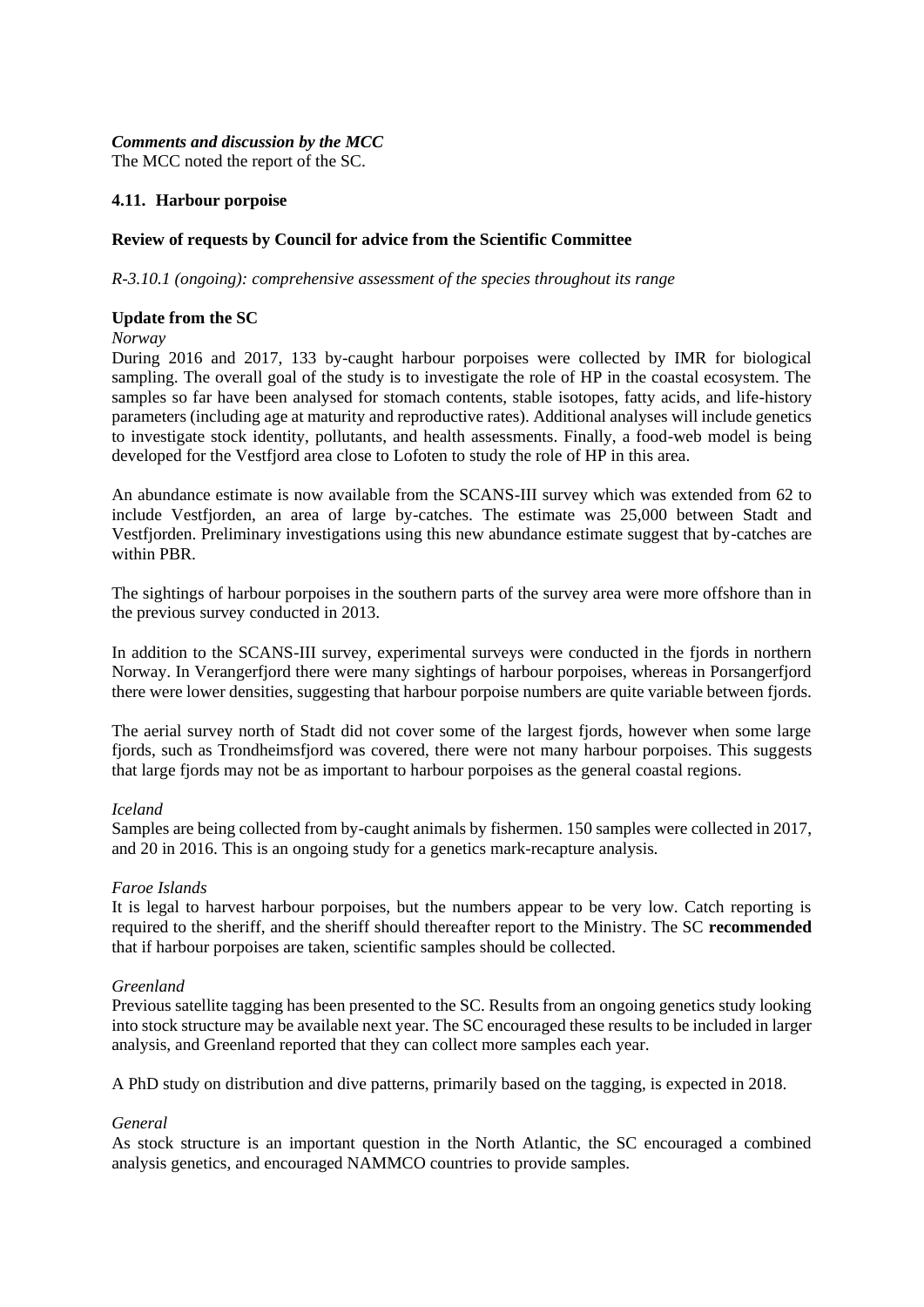#### *Comments and discussion by the MCC* The MCC noted the report of the SC.

# **4.11. Harbour porpoise**

# **Review of requests by Council for advice from the Scientific Committee**

*R-3.10.1 (ongoing): comprehensive assessment of the species throughout its range*

#### **Update from the SC**

*Norway* 

During 2016 and 2017, 133 by-caught harbour porpoises were collected by IMR for biological sampling. The overall goal of the study is to investigate the role of HP in the coastal ecosystem. The samples so far have been analysed for stomach contents, stable isotopes, fatty acids, and life-history parameters (including age at maturity and reproductive rates). Additional analyses will include genetics to investigate stock identity, pollutants, and health assessments. Finally, a food-web model is being developed for the Vestfjord area close to Lofoten to study the role of HP in this area.

An abundance estimate is now available from the SCANS-III survey which was extended from 62 to include Vestfjorden, an area of large by-catches. The estimate was 25,000 between Stadt and Vestfjorden. Preliminary investigations using this new abundance estimate suggest that by-catches are within PBR.

The sightings of harbour porpoises in the southern parts of the survey area were more offshore than in the previous survey conducted in 2013.

In addition to the SCANS-III survey, experimental surveys were conducted in the fjords in northern Norway. In Verangerfjord there were many sightings of harbour porpoises, whereas in Porsangerfjord there were lower densities, suggesting that harbour porpoise numbers are quite variable between fjords.

The aerial survey north of Stadt did not cover some of the largest fjords, however when some large fjords, such as Trondheimsfjord was covered, there were not many harbour porpoises. This suggests that large fjords may not be as important to harbour porpoises as the general coastal regions.

#### *Iceland*

Samples are being collected from by-caught animals by fishermen. 150 samples were collected in 2017, and 20 in 2016. This is an ongoing study for a genetics mark-recapture analysis.

# *Faroe Islands*

It is legal to harvest harbour porpoises, but the numbers appear to be very low. Catch reporting is required to the sheriff, and the sheriff should thereafter report to the Ministry. The SC **recommended** that if harbour porpoises are taken, scientific samples should be collected.

# *Greenland*

Previous satellite tagging has been presented to the SC. Results from an ongoing genetics study looking into stock structure may be available next year. The SC encouraged these results to be included in larger analysis, and Greenland reported that they can collect more samples each year.

A PhD study on distribution and dive patterns, primarily based on the tagging, is expected in 2018.

#### *General*

As stock structure is an important question in the North Atlantic, the SC encouraged a combined analysis genetics, and encouraged NAMMCO countries to provide samples.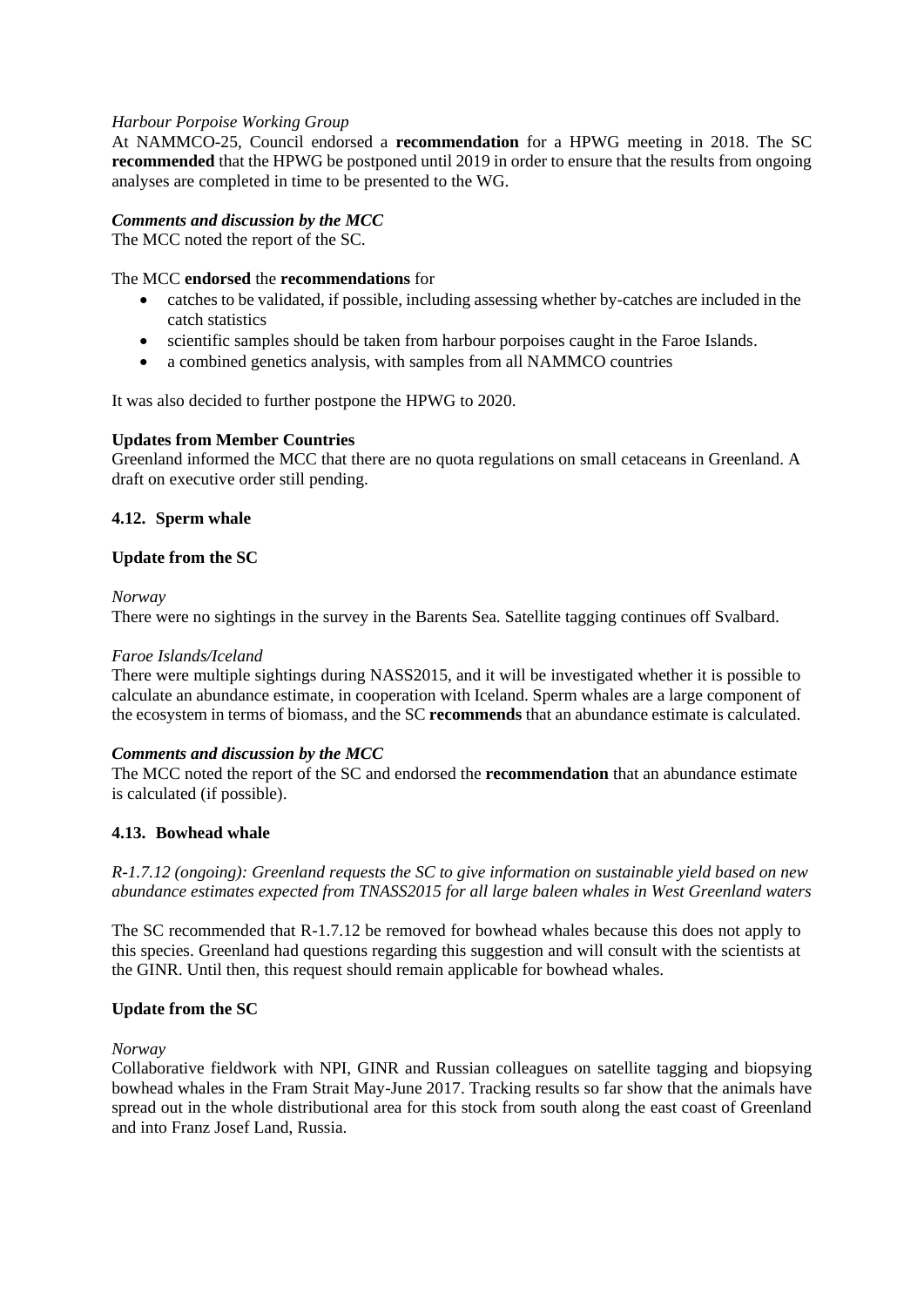# *Harbour Porpoise Working Group*

At NAMMCO-25, Council endorsed a **recommendation** for a HPWG meeting in 2018. The SC **recommended** that the HPWG be postponed until 2019 in order to ensure that the results from ongoing analyses are completed in time to be presented to the WG.

# *Comments and discussion by the MCC*

The MCC noted the report of the SC.

#### The MCC **endorsed** the **recommendations** for

- catches to be validated, if possible, including assessing whether by-catches are included in the catch statistics
- scientific samples should be taken from harbour porpoises caught in the Faroe Islands.
- a combined genetics analysis, with samples from all NAMMCO countries

It was also decided to further postpone the HPWG to 2020.

#### **Updates from Member Countries**

Greenland informed the MCC that there are no quota regulations on small cetaceans in Greenland. A draft on executive order still pending.

#### **4.12. Sperm whale**

#### **Update from the SC**

*Norway* 

There were no sightings in the survey in the Barents Sea. Satellite tagging continues off Svalbard.

#### *Faroe Islands/Iceland*

There were multiple sightings during NASS2015, and it will be investigated whether it is possible to calculate an abundance estimate, in cooperation with Iceland. Sperm whales are a large component of the ecosystem in terms of biomass, and the SC **recommends** that an abundance estimate is calculated.

#### *Comments and discussion by the MCC*

The MCC noted the report of the SC and endorsed the **recommendation** that an abundance estimate is calculated (if possible).

#### **4.13. Bowhead whale**

*R-1.7.12 (ongoing): Greenland requests the SC to give information on sustainable yield based on new abundance estimates expected from TNASS2015 for all large baleen whales in West Greenland waters* 

The SC recommended that R-1.7.12 be removed for bowhead whales because this does not apply to this species. Greenland had questions regarding this suggestion and will consult with the scientists at the GINR. Until then, this request should remain applicable for bowhead whales.

#### **Update from the SC**

#### *Norway*

Collaborative fieldwork with NPI, GINR and Russian colleagues on satellite tagging and biopsying bowhead whales in the Fram Strait May-June 2017. Tracking results so far show that the animals have spread out in the whole distributional area for this stock from south along the east coast of Greenland and into Franz Josef Land, Russia.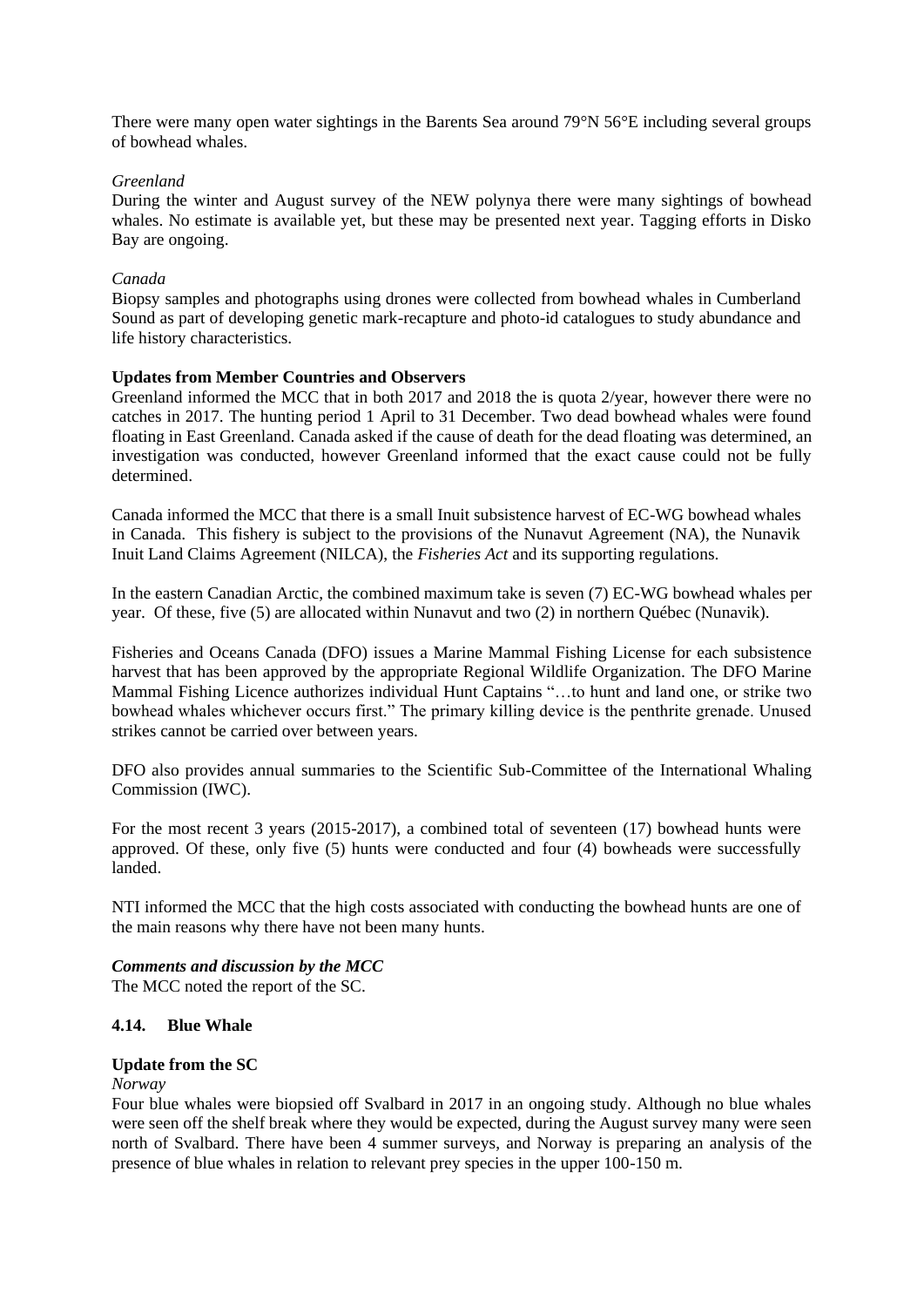There were many open water sightings in the Barents Sea around 79°N 56°E including several groups of bowhead whales.

#### *Greenland*

During the winter and August survey of the NEW polynya there were many sightings of bowhead whales. No estimate is available yet, but these may be presented next year. Tagging efforts in Disko Bay are ongoing.

#### *Canada*

Biopsy samples and photographs using drones were collected from bowhead whales in Cumberland Sound as part of developing genetic mark-recapture and photo-id catalogues to study abundance and life history characteristics.

#### **Updates from Member Countries and Observers**

Greenland informed the MCC that in both 2017 and 2018 the is quota 2/year, however there were no catches in 2017. The hunting period 1 April to 31 December. Two dead bowhead whales were found floating in East Greenland. Canada asked if the cause of death for the dead floating was determined, an investigation was conducted, however Greenland informed that the exact cause could not be fully determined.

Canada informed the MCC that there is a small Inuit subsistence harvest of EC-WG bowhead whales in Canada. This fishery is subject to the provisions of the Nunavut Agreement (NA), the Nunavik Inuit Land Claims Agreement (NILCA), the *Fisheries Act* and its supporting regulations.

In the eastern Canadian Arctic, the combined maximum take is seven (7) EC-WG bowhead whales per year. Of these, five (5) are allocated within Nunavut and two (2) in northern Québec (Nunavik).

Fisheries and Oceans Canada (DFO) issues a Marine Mammal Fishing License for each subsistence harvest that has been approved by the appropriate Regional Wildlife Organization. The DFO Marine Mammal Fishing Licence authorizes individual Hunt Captains "…to hunt and land one, or strike two bowhead whales whichever occurs first." The primary killing device is the penthrite grenade. Unused strikes cannot be carried over between years.

DFO also provides annual summaries to the Scientific Sub-Committee of the International Whaling Commission (IWC).

For the most recent 3 years (2015-2017), a combined total of seventeen (17) bowhead hunts were approved. Of these, only five (5) hunts were conducted and four (4) bowheads were successfully landed.

NTI informed the MCC that the high costs associated with conducting the bowhead hunts are one of the main reasons why there have not been many hunts.

#### *Comments and discussion by the MCC*

The MCC noted the report of the SC.

# **4.14. Blue Whale**

#### **Update from the SC**

*Norway* 

Four blue whales were biopsied off Svalbard in 2017 in an ongoing study. Although no blue whales were seen off the shelf break where they would be expected, during the August survey many were seen north of Svalbard. There have been 4 summer surveys, and Norway is preparing an analysis of the presence of blue whales in relation to relevant prey species in the upper 100-150 m.